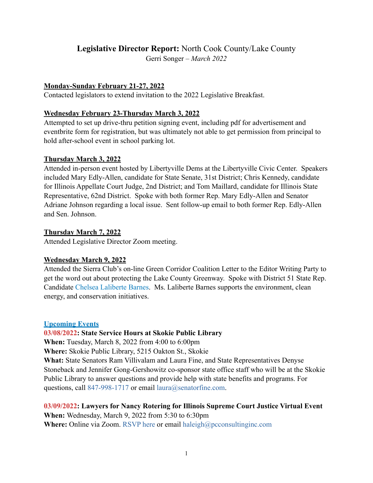# **Legislative Director Report:** North Cook County/Lake County

Gerri Songer – *March 2022*

### **Monday-Sunday February 21-27, 2022**

Contacted legislators to extend invitation to the 2022 Legislative Breakfast.

### **Wednesday February 23-Thursday March 3, 2022**

Attempted to set up drive-thru petition signing event, including pdf for advertisement and eventbrite form for registration, but was ultimately not able to get permission from principal to hold after-school event in school parking lot.

### **Thursday March 3, 2022**

Attended in-person event hosted by Libertyville Dems at the Libertyville Civic Center. Speakers included Mary Edly-Allen, candidate for State Senate, 31st District; Chris Kennedy, candidate for Illinois Appellate Court Judge, 2nd District; and Tom Maillard, candidate for Illinois State Representative, 62nd District. Spoke with both former Rep. Mary Edly-Allen and Senator Adriane Johnson regarding a local issue. Sent follow-up email to both former Rep. Edly-Allen and Sen. Johnson.

### **Thursday March 7, 2022**

Attended Legislative Director Zoom meeting.

# **Wednesday March 9, 2022**

Attended the Sierra Club's on-line Green Corridor Coalition Letter to the Editor Writing Party to get the word out about protecting the Lake County Greenway. Spoke with District 51 State Rep. Candidate [Chelsea Laliberte Barnes](https://www.chelseaforillinois.com). Ms. Laliberte Barnes supports the environment, clean energy, and conservation initiatives.

# **Upcoming Events**

# **[03/08/2022: State Service Hours at Skokie Public Library](https://tenthdems.org/2022/03/state-service-hours-at-skokie-public-library/)**

**When:** Tuesday, March 8, 2022 from 4:00 to 6:00pm

**Where:** Skokie Public Library, 5215 Oakton St., Skokie

**What:** State Senators Ram Villivalam and Laura Fine, and State Representatives Denyse Stoneback and Jennifer Gong-Gershowitz co-sponsor state office staff who will be at the Skokie Public Library to answer questions and provide help with state benefits and programs. For questions, call [847-998-1717](http://847-998-1717/) or email [laura@senatorfine.com](mailto:laura@senatorfine.com).

**[03/09/2022: Lawyers for Nancy Rotering for Illinois Supreme Court Justice Virtual Event](https://tenthdems.org/2022/03/lawyers-for-nancy-rotering-virtual-event/) When:** Wednesday, March 9, 2022 from 5:30 to 6:30pm **Where:** Online via Zoom. [RSVP here](https://secure.actblue.com/donate/lawyers3922) or email [haleigh@pcconsultinginc.com](mailto:haleigh@pcconsultinginc.com)